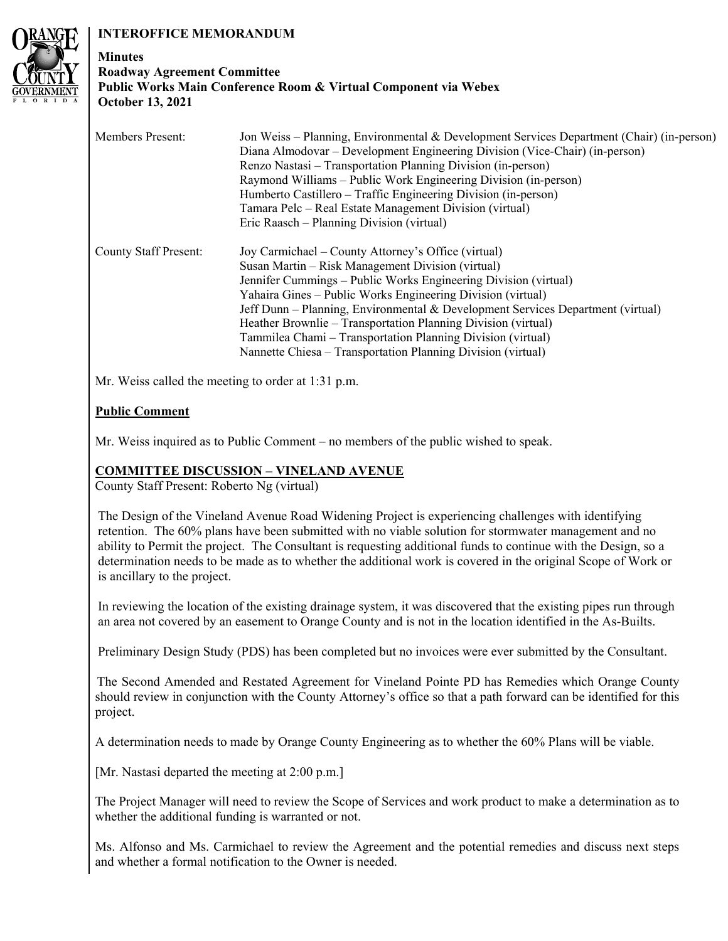# **INTEROFFICE MEMORANDUM**



### **Minutes Roadway Agreement Committee Public Works Main Conference Room & Virtual Component via Webex October 13, 2021**

| <b>Members Present:</b>      | Jon Weiss – Planning, Environmental & Development Services Department (Chair) (in-person)<br>Diana Almodovar – Development Engineering Division (Vice-Chair) (in-person)<br>Renzo Nastasi – Transportation Planning Division (in-person)<br>Raymond Williams – Public Work Engineering Division (in-person)<br>Humberto Castillero – Traffic Engineering Division (in-person)<br>Tamara Pelc – Real Estate Management Division (virtual)<br>Eric Raasch – Planning Division (virtual)                                         |
|------------------------------|-------------------------------------------------------------------------------------------------------------------------------------------------------------------------------------------------------------------------------------------------------------------------------------------------------------------------------------------------------------------------------------------------------------------------------------------------------------------------------------------------------------------------------|
| <b>County Staff Present:</b> | Joy Carmichael – County Attorney's Office (virtual)<br>Susan Martin – Risk Management Division (virtual)<br>Jennifer Cummings – Public Works Engineering Division (virtual)<br>Yahaira Gines – Public Works Engineering Division (virtual)<br>Jeff Dunn – Planning, Environmental & Development Services Department (virtual)<br>Heather Brownlie – Transportation Planning Division (virtual)<br>Tammilea Chami – Transportation Planning Division (virtual)<br>Nannette Chiesa – Transportation Planning Division (virtual) |

Mr. Weiss called the meeting to order at 1:31 p.m.

## **Public Comment**

Mr. Weiss inquired as to Public Comment – no members of the public wished to speak.

## **COMMITTEE DISCUSSION – VINELAND AVENUE**

County Staff Present: Roberto Ng (virtual)

 The Design of the Vineland Avenue Road Widening Project is experiencing challenges with identifying retention. The 60% plans have been submitted with no viable solution for stormwater management and no ability to Permit the project. The Consultant is requesting additional funds to continue with the Design, so a determination needs to be made as to whether the additional work is covered in the original Scope of Work or is ancillary to the project.

 In reviewing the location of the existing drainage system, it was discovered that the existing pipes run through an area not covered by an easement to Orange County and is not in the location identified in the As-Builts.

Preliminary Design Study (PDS) has been completed but no invoices were ever submitted by the Consultant.

The Second Amended and Restated Agreement for Vineland Pointe PD has Remedies which Orange County should review in conjunction with the County Attorney's office so that a path forward can be identified for this project.

A determination needs to made by Orange County Engineering as to whether the 60% Plans will be viable.

[Mr. Nastasi departed the meeting at 2:00 p.m.]

The Project Manager will need to review the Scope of Services and work product to make a determination as to whether the additional funding is warranted or not.

Ms. Alfonso and Ms. Carmichael to review the Agreement and the potential remedies and discuss next steps and whether a formal notification to the Owner is needed.